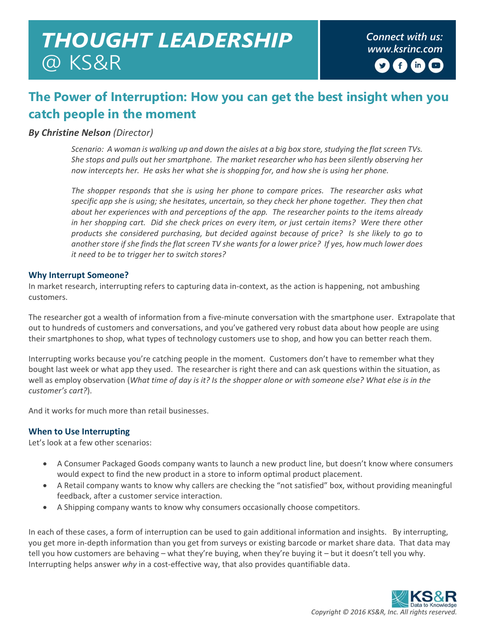# *Connect with us: THOUGHT LEADERSHIP www.ksrinc.com*  @ KS&R

## **The Power of Interruption: How you can get the best insight when you catch people in the moment**

#### *By Christine Nelson (Director)*

*Scenario: A woman is walking up and down the aisles at a big box store, studying the flat screen TVs. She stops and pulls out her smartphone. The market researcher who has been silently observing her now intercepts her. He asks her what she is shopping for, and how she is using her phone.* 

*The shopper responds that she is using her phone to compare prices. The researcher asks what specific app she is using; she hesitates, uncertain, so they check her phone together. They then chat about her experiences with and perceptions of the app. The researcher points to the items already in her shopping cart. Did she check prices on every item, or just certain items? Were there other products she considered purchasing, but decided against because of price? Is she likely to go to another store if she finds the flat screen TV she wants for a lower price? If yes, how much lower does it need to be to trigger her to switch stores?* 

#### **Why Interrupt Someone?**

In market research, interrupting refers to capturing data in-context, as the action is happening, not ambushing customers.

The researcher got a wealth of information from a five-minute conversation with the smartphone user. Extrapolate that out to hundreds of customers and conversations, and you've gathered very robust data about how people are using their smartphones to shop, what types of technology customers use to shop, and how you can better reach them.

Interrupting works because you're catching people in the moment. Customers don't have to remember what they bought last week or what app they used. The researcher is right there and can ask questions within the situation, as well as employ observation (*What time of day is it? Is the shopper alone or with someone else? What else is in the customer's cart?*).

And it works for much more than retail businesses.

#### **When to Use Interrupting**

Let's look at a few other scenarios:

- A Consumer Packaged Goods company wants to launch a new product line, but doesn't know where consumers would expect to find the new product in a store to inform optimal product placement.
- A Retail company wants to know why callers are checking the "not satisfied" box, without providing meaningful feedback, after a customer service interaction.
- A Shipping company wants to know why consumers occasionally choose competitors.

In each of these cases, a form of interruption can be used to gain additional information and insights. By interrupting, you get more in-depth information than you get from surveys or existing barcode or market share data. That data may tell you how customers are behaving – what they're buying, when they're buying it – but it doesn't tell you why. Interrupting helps answer *why* in a cost-effective way, that also provides quantifiable data.

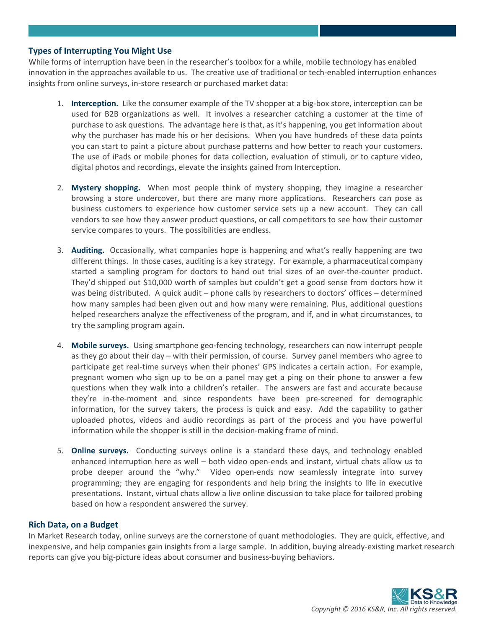#### **Types of Interrupting You Might Use**

While forms of interruption have been in the researcher's toolbox for a while, mobile technology has enabled innovation in the approaches available to us. The creative use of traditional or tech-enabled interruption enhances insights from online surveys, in-store research or purchased market data:

- 1. **Interception.** Like the consumer example of the TV shopper at a big-box store, interception can be used for B2B organizations as well. It involves a researcher catching a customer at the time of purchase to ask questions. The advantage here is that, as it's happening, you get information about why the purchaser has made his or her decisions. When you have hundreds of these data points you can start to paint a picture about purchase patterns and how better to reach your customers. The use of iPads or mobile phones for data collection, evaluation of stimuli, or to capture video, digital photos and recordings, elevate the insights gained from Interception.
- 2. **Mystery shopping.** When most people think of mystery shopping, they imagine a researcher browsing a store undercover, but there are many more applications. Researchers can pose as business customers to experience how customer service sets up a new account. They can call vendors to see how they answer product questions, or call competitors to see how their customer service compares to yours. The possibilities are endless.
- 3. **Auditing.** Occasionally, what companies hope is happening and what's really happening are two different things. In those cases, auditing is a key strategy. For example, a pharmaceutical company started a sampling program for doctors to hand out trial sizes of an over-the-counter product. They'd shipped out \$10,000 worth of samples but couldn't get a good sense from doctors how it was being distributed. A quick audit – phone calls by researchers to doctors' offices – determined how many samples had been given out and how many were remaining. Plus, additional questions helped researchers analyze the effectiveness of the program, and if, and in what circumstances, to try the sampling program again.
- 4. **Mobile surveys.** Using smartphone geo-fencing technology, researchers can now interrupt people as they go about their day – with their permission, of course. Survey panel members who agree to participate get real-time surveys when their phones' GPS indicates a certain action. For example, pregnant women who sign up to be on a panel may get a ping on their phone to answer a few questions when they walk into a children's retailer. The answers are fast and accurate because they're in-the-moment and since respondents have been pre-screened for demographic information, for the survey takers, the process is quick and easy. Add the capability to gather uploaded photos, videos and audio recordings as part of the process and you have powerful information while the shopper is still in the decision-making frame of mind.
- 5. **Online surveys.** Conducting surveys online is a standard these days, and technology enabled enhanced interruption here as well – both video open-ends and instant, virtual chats allow us to probe deeper around the "why." Video open-ends now seamlessly integrate into survey programming; they are engaging for respondents and help bring the insights to life in executive presentations. Instant, virtual chats allow a live online discussion to take place for tailored probing based on how a respondent answered the survey.

#### **Rich Data, on a Budget**

In Market Research today, online surveys are the cornerstone of quant methodologies. They are quick, effective, and inexpensive, and help companies gain insights from a large sample. In addition, buying already-existing market research reports can give you big-picture ideas about consumer and business-buying behaviors.